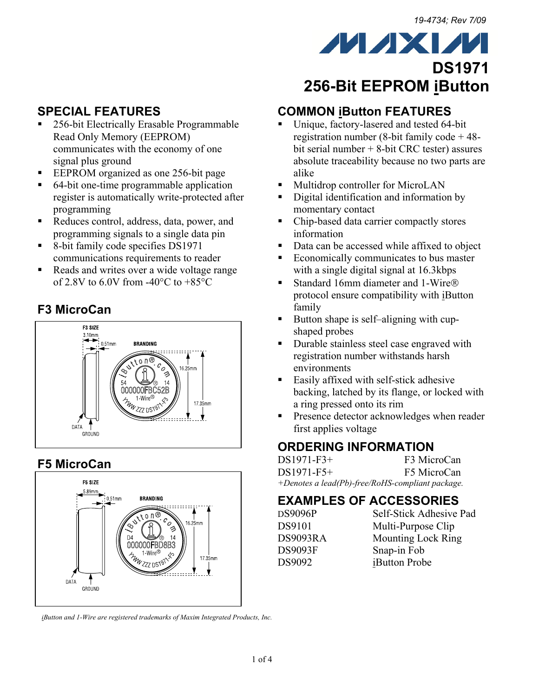**DS1971**

## **SPECIAL FEATURES**

- 256-bit Electrically Erasable Programmable Read Only Memory (EEPROM) communicates with the economy of one signal plus ground
- EEPROM organized as one 256-bit page
- 64-bit one-time programmable application register is automatically write-protected after programming
- Reduces control, address, data, power, and programming signals to a single data pin
- 8-bit family code specifies DS1971 communications requirements to reader
- Reads and writes over a wide voltage range of 2.8V to 6.0V from  $-40^{\circ}$ C to  $+85^{\circ}$ C

## **F3 MicroCan**



### **F5 MicroCan**



*iButton and 1-Wire are registered trademarks of Maxim Integrated Products, Inc.* 

# **256-Bit EEPROM iButton**

**MAXM** 

## **COMMON iButton FEATURES**

- Unique, factory-lasered and tested 64-bit registration number (8-bit family code + 48 bit serial number + 8-bit CRC tester) assures absolute traceability because no two parts are alike
- Multidrop controller for MicroLAN
- Digital identification and information by momentary contact
- Chip-based data carrier compactly stores information
- Data can be accessed while affixed to object
- Economically communicates to bus master with a single digital signal at 16.3kbps
- Standard 16mm diameter and 1-Wire® protocol ensure compatibility with iButton family
- Button shape is self-aligning with cupshaped probes
- Durable stainless steel case engraved with registration number withstands harsh environments
- Easily affixed with self-stick adhesive backing, latched by its flange, or locked with a ring pressed onto its rim
- **Presence detector acknowledges when reader** first applies voltage

## **ORDERING INFORMATION**

DS1971-F3+ F3 MicroCan DS1971-F5+ F5 MicroCan *+Denotes a lead(Pb)-free/RoHS-compliant package.* 

### **EXAMPLES OF ACCESSORIES**

| <b>DS9096P</b> | Self-Stick Adhesive P     |
|----------------|---------------------------|
| <b>DS9101</b>  | Multi-Purpose Clip        |
| DS9093RA       | <b>Mounting Lock Ring</b> |
| <b>DS9093F</b> | Snap-in Fob               |
| DS9092         | iButton Probe             |

DS9096P Self-Stick Adhesive Pad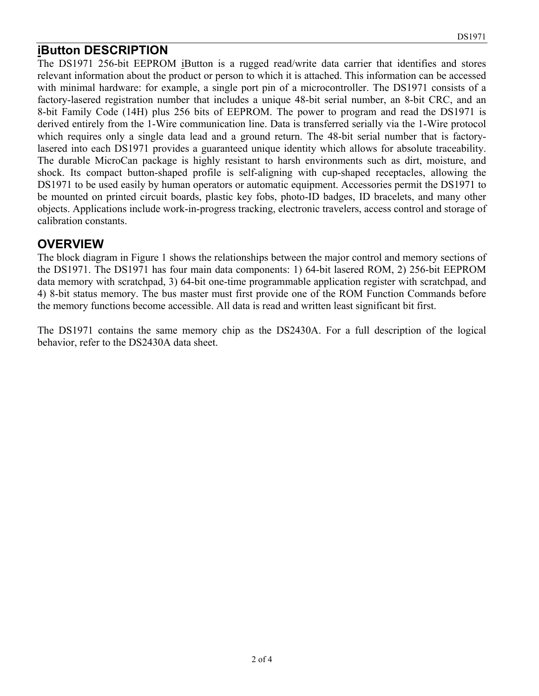### **iButton DESCRIPTION**

The DS1971 256-bit EEPROM iButton is a rugged read/write data carrier that identifies and stores relevant information about the product or person to which it is attached. This information can be accessed with minimal hardware: for example, a single port pin of a microcontroller. The DS1971 consists of a factory-lasered registration number that includes a unique 48-bit serial number, an 8-bit CRC, and an 8-bit Family Code (14H) plus 256 bits of EEPROM. The power to program and read the DS1971 is derived entirely from the 1-Wire communication line. Data is transferred serially via the 1-Wire protocol which requires only a single data lead and a ground return. The 48-bit serial number that is factorylasered into each DS1971 provides a guaranteed unique identity which allows for absolute traceability. The durable MicroCan package is highly resistant to harsh environments such as dirt, moisture, and shock. Its compact button-shaped profile is self-aligning with cup-shaped receptacles, allowing the DS1971 to be used easily by human operators or automatic equipment. Accessories permit the DS1971 to be mounted on printed circuit boards, plastic key fobs, photo-ID badges, ID bracelets, and many other objects. Applications include work-in-progress tracking, electronic travelers, access control and storage of calibration constants.

#### **OVERVIEW**

The block diagram in Figure 1 shows the relationships between the major control and memory sections of the DS1971. The DS1971 has four main data components: 1) 64-bit lasered ROM, 2) 256-bit EEPROM data memory with scratchpad, 3) 64-bit one-time programmable application register with scratchpad, and 4) 8-bit status memory. The bus master must first provide one of the ROM Function Commands before the memory functions become accessible. All data is read and written least significant bit first.

The DS1971 contains the same memory chip as the DS2430A. For a full description of the logical behavior, refer to the DS2430A data sheet.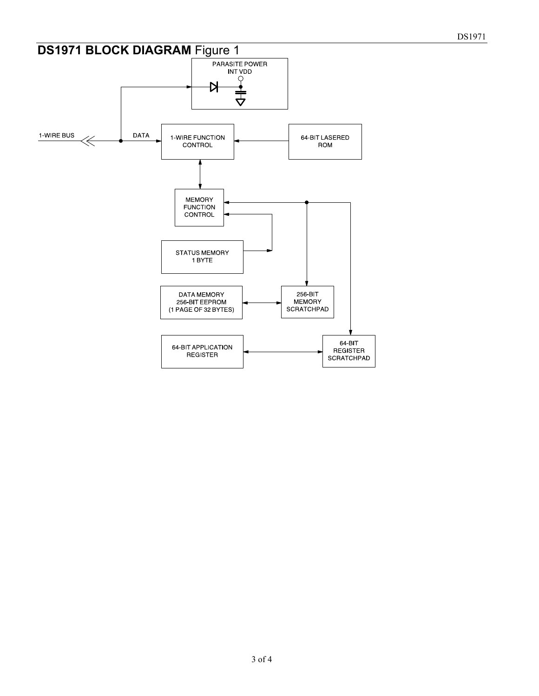